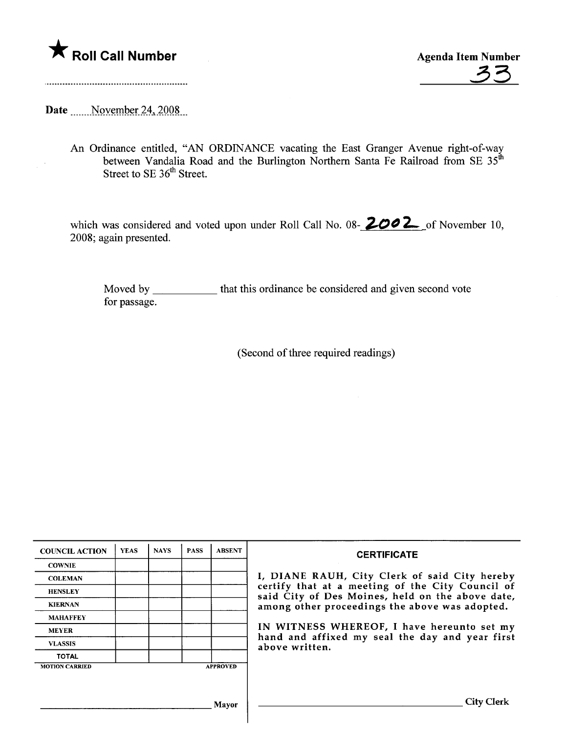

A Roll Call Number<br>
Agenda Item Number<br>
33

Date \_\_\_\_\_November 24, 2008

 $\bar{z}$ 

An Ordinance entitled, "AN ORDINANCE vacating the East Granger Avenue right-of-way between Vandalia Road and the Burlington Northern Santa Fe Railroad from SE 35<sup>tr</sup> Street to SE 36<sup>th</sup> Street.

which was considered and voted upon under Roll Call No. 08-  $2002$  of November 10, 2008; again presented.

Moved by \_\_\_\_\_\_\_\_\_\_\_\_ that this ordinance be considered and given second vote for passage.

(Second of three required readings)

| <b>COUNCIL ACTION</b> | <b>YEAS</b> | <b>NAYS</b> | <b>PASS</b> | <b>ABSENT</b>   | <b>CERTIFICATE</b>                                                                                                                                                                                                                                                                                                         |
|-----------------------|-------------|-------------|-------------|-----------------|----------------------------------------------------------------------------------------------------------------------------------------------------------------------------------------------------------------------------------------------------------------------------------------------------------------------------|
| <b>COWNIE</b>         |             |             |             |                 | I, DIANE RAUH, City Clerk of said City hereby<br>certify that at a meeting of the City Council of<br>said City of Des Moines, held on the above date,<br>among other proceedings the above was adopted.<br>IN WITNESS WHEREOF, I have hereunto set my<br>hand and affixed my seal the day and year first<br>above written. |
| <b>COLEMAN</b>        |             |             |             |                 |                                                                                                                                                                                                                                                                                                                            |
| <b>HENSLEY</b>        |             |             |             |                 |                                                                                                                                                                                                                                                                                                                            |
| <b>KIERNAN</b>        |             |             |             |                 |                                                                                                                                                                                                                                                                                                                            |
| <b>MAHAFFEY</b>       |             |             |             |                 |                                                                                                                                                                                                                                                                                                                            |
| <b>MEYER</b>          |             |             |             |                 |                                                                                                                                                                                                                                                                                                                            |
| <b>VLASSIS</b>        |             |             |             |                 |                                                                                                                                                                                                                                                                                                                            |
| <b>TOTAL</b>          |             |             |             |                 |                                                                                                                                                                                                                                                                                                                            |
| <b>MOTION CARRIED</b> |             |             |             | <b>APPROVED</b> |                                                                                                                                                                                                                                                                                                                            |
|                       |             |             |             |                 |                                                                                                                                                                                                                                                                                                                            |
|                       |             |             |             | Mayor           | City.                                                                                                                                                                                                                                                                                                                      |

 $\overline{\phantom{a}}$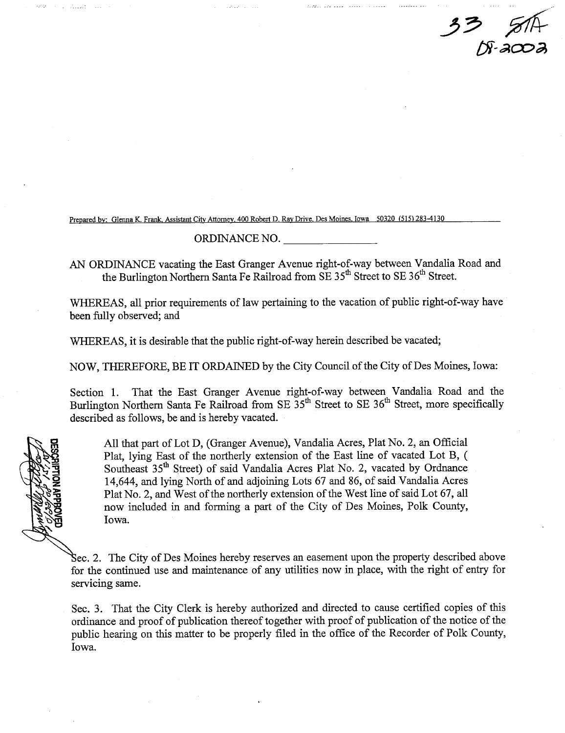33 STA DF-2002

Prepared by: Glenna K. Frank, Assistant City Attorney, 400 Robert D. Ray Drive. Des Moines. Iowa 50320 (515) 283-4130

## ORDINANCE NO.

AN ORDINANCE vacating the East Granger Avenue right-of-way between Vandalia Road and the Burlington Northern Santa Fe Railroad from SE 35<sup>th</sup> Street to SE 36<sup>th</sup> Street.

WHEREAS, all prior requirements of law pertaining to the vacation of public right-of-way have been fully observed; and

WHREAS, it is desirable that the public right-of-way herein described be vacated;

NOW, THEREFORE, BE IT ORDAINED by the City Council of the City of Des Moines, Iowa:

Section 1. That the East Granger Avenue right-of-way between Vandalia Road and the Burlington Northern Santa Fe Railroad from SE 35<sup>th</sup> Street to SE 36<sup>th</sup> Street, more specifically described as follows, be and is hereby vacated.

All that part of Lot D, (Granger Avenue), Vandalia Acres, Plat No.2, an Official Plat, lying East of the northerly extension of the East line of vacated Lot B, ( Southeast 35<sup>th</sup> Street) of said Vandalia Acres Plat No. 2, vacated by Ordnance 14,644, and lying North of and adjoining Lots 67 and 86, of said Vandalia Acres Plat No. 2, and West of the northerly extension of the West line of said Lot 67, all now included in and forming a part of the City of Des Moines, Polk County, Iowa.

Sec. 2. The City of Des Moines hereby reserves an easement upon the property described above for the continued use and maitenance of any utilities now in place, with the right of entry for servicing same.

Sec. 3. That the City Clerk is hereby authorized and directed to cause certified copies of this ordinance and proof of publication thereof together with proof of publication of the notice of the public hearing on this matter to be properly filed in the office of the Recorder of Polk County, Iowa.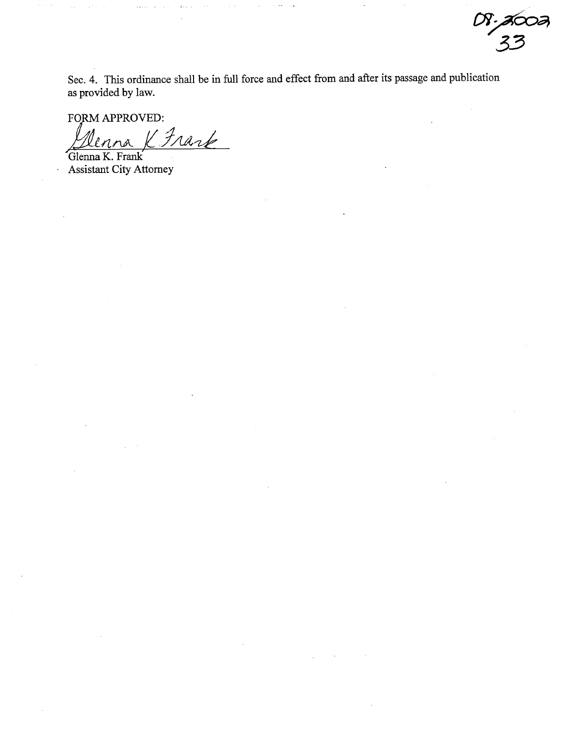Sec. 4. This ordinance shall be in full force and effect from and after its passage and publication as provided by law.

 $OS-$ acoa

33

FORM APPROVED: K Frank

Glenna K. Frank Assistant City Attorney